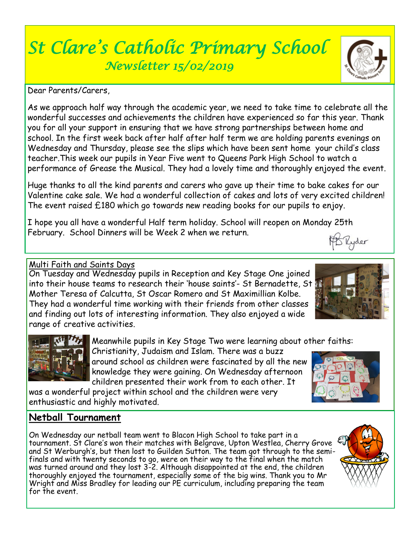# *St Clare's Catholic Primary School Newsletter 15/02/2019*

Dear Parents/Carers,

As we approach half way through the academic year, we need to take time to celebrate all the wonderful successes and achievements the children have experienced so far this year. Thank you for all your support in ensuring that we have strong partnerships between home and school. In the first week back after half after half term we are holding parents evenings on Wednesday and Thursday, please see the slips which have been sent home your child's class teacher.This week our pupils in Year Five went to Queens Park High School to watch a performance of Grease the Musical. They had a lovely time and thoroughly enjoyed the event.

Huge thanks to all the kind parents and carers who gave up their time to bake cakes for our Valentine cake sale. We had a wonderful collection of cakes and lots of very excited children! The event raised £180 which go towards new reading books for our pupils to enjoy.

I hope you all have a wonderful Half term holiday. School will reopen on Monday 25th February. School Dinners will be Week 2 when we return. Tlyder

### Multi Faith and Saints Days

On Tuesday and Wednesday pupils in Reception and Key Stage One joined into their house teams to research their 'house saints'- St Bernadette, St W Mother Teresa of Calcutta, St Oscar Romero and St Maximillian Kolbe. They had a wonderful time working with their friends from other classes and finding out lots of interesting information. They also enjoyed a wide range of creative activities.

Meanwhile pupils in Key Stage Two were learning about other faiths:

Christianity, Judaism and Islam. There was a buzz around school as children were fascinated by all the new knowledge they were gaining. On Wednesday afternoon children presented their work from to each other. It

was a wonderful project within school and the children were very enthusiastic and highly motivated.

## **Netball Tournament**

On Wednesday our netball team went to Blacon High School to take part in a tournament. St Clare's won their matches with Belgrave, Upton Westlea, Cherry Grove and St Werburgh's, but then lost to Guilden Sutton. The team got through to the semifinals and with twenty seconds to go, were on their way to the final when the match was turned around and they lost 3-2. Although disappointed at the end, the children thoroughly enjoyed the tournament, especially some of the big wins. Thank you to Mr Wright and Miss Bradley for leading our PE curriculum, including preparing the team for the event.